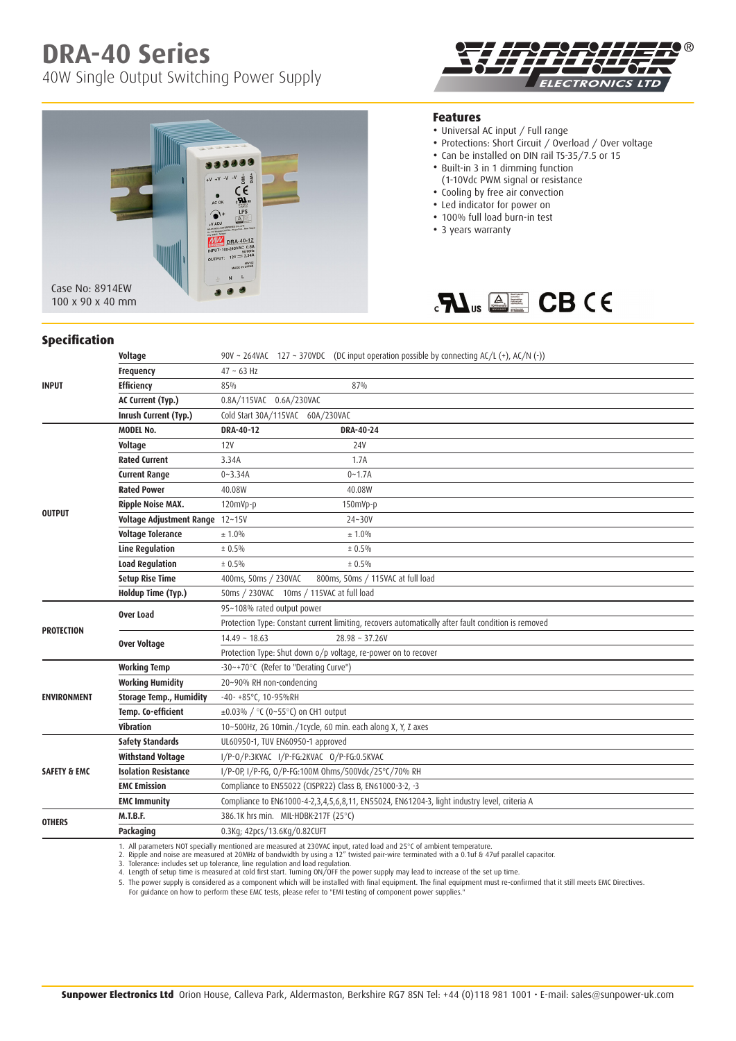## **DRA-40 Series**

40W Single Output Switching Power Supply

 $\frac{1}{2}$ Ė c٤ LPS

DRA-40-12



## **Features**

- Universal AC input / Full range
- Protections: Short Circuit / Overload / Over voltage
- Can be installed on DIN rail TS-35/7.5 or 15
- Built-in 3 in 1 dimming function
	- (1-10Vdc PWM signal or resistance
- Cooling by free air convection
- Led indicator for power on
- 100% full load burn-in test
- 3 years warranty



100 x 90 x 40 mm

Case No: 8914EW

## **Specification**

|                         | Voltage                         | 90V ~ 264VAC 127 ~ 370VDC (DC input operation possible by connecting AC/L (+), AC/N (-))            |  |  |  |  |  |  |  |  |  |
|-------------------------|---------------------------------|-----------------------------------------------------------------------------------------------------|--|--|--|--|--|--|--|--|--|
|                         | Frequency                       | $47 - 63$ Hz                                                                                        |  |  |  |  |  |  |  |  |  |
| <b>INPUT</b>            | <b>Efficiency</b>               | 85%<br>87%                                                                                          |  |  |  |  |  |  |  |  |  |
|                         | AC Current (Typ.)               | 0.8A/115VAC 0.6A/230VAC                                                                             |  |  |  |  |  |  |  |  |  |
|                         | Inrush Current (Typ.)           | Cold Start 30A/115VAC 60A/230VAC                                                                    |  |  |  |  |  |  |  |  |  |
|                         | <b>MODEL No.</b>                | DRA-40-12<br>DRA-40-24                                                                              |  |  |  |  |  |  |  |  |  |
|                         | Voltage                         | 12V<br>24V                                                                                          |  |  |  |  |  |  |  |  |  |
|                         | <b>Rated Current</b>            | 3.34A<br>1.7A                                                                                       |  |  |  |  |  |  |  |  |  |
|                         | <b>Current Range</b>            | $0 - 3.34A$<br>$0 - 1.7A$                                                                           |  |  |  |  |  |  |  |  |  |
|                         | <b>Rated Power</b>              | 40.08W<br>40.08W                                                                                    |  |  |  |  |  |  |  |  |  |
|                         | <b>Ripple Noise MAX.</b>        | 120mVp-p<br>150mVp-p                                                                                |  |  |  |  |  |  |  |  |  |
| <b>OUTPUT</b>           | Voltage Adjustment Range 12~15V | 24~30V                                                                                              |  |  |  |  |  |  |  |  |  |
|                         | <b>Voltage Tolerance</b>        | ± 1.0%<br>± 1.0%                                                                                    |  |  |  |  |  |  |  |  |  |
|                         | <b>Line Regulation</b>          | ± 0.5%<br>± 0.5%                                                                                    |  |  |  |  |  |  |  |  |  |
|                         | <b>Load Regulation</b>          | ± 0.5%<br>± 0.5%                                                                                    |  |  |  |  |  |  |  |  |  |
|                         | <b>Setup Rise Time</b>          | 400ms, 50ms / 230VAC<br>800ms, 50ms / 115VAC at full load                                           |  |  |  |  |  |  |  |  |  |
|                         | Holdup Time (Typ.)              | 50ms / 230VAC 10ms / 115VAC at full load                                                            |  |  |  |  |  |  |  |  |  |
|                         | Over Load                       | 95~108% rated output power                                                                          |  |  |  |  |  |  |  |  |  |
| <b>PROTECTION</b>       |                                 | Protection Type: Constant current limiting, recovers automatically after fault condition is removed |  |  |  |  |  |  |  |  |  |
|                         | Over Voltage                    | $28.98 \sim 37.26V$<br>$14.49 - 18.63$                                                              |  |  |  |  |  |  |  |  |  |
|                         |                                 | Protection Type: Shut down o/p voltage, re-power on to recover                                      |  |  |  |  |  |  |  |  |  |
|                         | <b>Working Temp</b>             | -30~+70°C (Refer to "Derating Curve")                                                               |  |  |  |  |  |  |  |  |  |
|                         | <b>Working Humidity</b>         | 20~90% RH non-condencing                                                                            |  |  |  |  |  |  |  |  |  |
| <b>ENVIRONMENT</b>      | <b>Storage Temp., Humidity</b>  | $-40-+85$ °C, 10-95%RH                                                                              |  |  |  |  |  |  |  |  |  |
|                         | Temp. Co-efficient              | $\pm 0.03\%$ / °C (0~55°C) on CH1 output                                                            |  |  |  |  |  |  |  |  |  |
|                         | Vibration                       | 10~500Hz, 2G 10min./1cycle, 60 min. each along X, Y, Z axes                                         |  |  |  |  |  |  |  |  |  |
|                         | <b>Safety Standards</b>         | UL60950-1, TUV EN60950-1 approved                                                                   |  |  |  |  |  |  |  |  |  |
|                         | <b>Withstand Voltage</b>        | I/P-0/P:3KVAC I/P-FG:2KVAC 0/P-FG:0.5KVAC                                                           |  |  |  |  |  |  |  |  |  |
| <b>SAFETY &amp; EMC</b> | <b>Isolation Resistance</b>     | I/P-0P, I/P-FG, 0/P-FG:100M 0hms/500Vdc/25°C/70% RH                                                 |  |  |  |  |  |  |  |  |  |
|                         | <b>EMC Emission</b>             | Compliance to EN55022 (CISPR22) Class B, EN61000-3-2, -3                                            |  |  |  |  |  |  |  |  |  |
|                         | <b>EMC Immunity</b>             | Compliance to EN61000-4-2,3,4,5,6,8,11, EN55024, EN61204-3, light industry level, criteria A        |  |  |  |  |  |  |  |  |  |
| <b>OTHERS</b>           | <b>M.T.B.F.</b>                 | 386.1K hrs min. MIL-HDBK-217F (25°C)                                                                |  |  |  |  |  |  |  |  |  |
|                         | Packaging                       | 0.3Kg; 42pcs/13.6Kg/0.82CUFT                                                                        |  |  |  |  |  |  |  |  |  |
|                         |                                 |                                                                                                     |  |  |  |  |  |  |  |  |  |

1. All parameters NOT specially mentioned are measured at 230VAC input, rated load and 25°C of ambient temperature.<br>2. Ripple and noise are measured at 20MHz of bandwidth by using a 12" twisted pair-wire terminated with a

5. The power supply is considered as a component which will be installed with final equipment. The final equipment must re-confirmed that it still meets EMC Directives.

For guidance on how to perform these EMC tests, please refer to "EMI testing of component power supplies."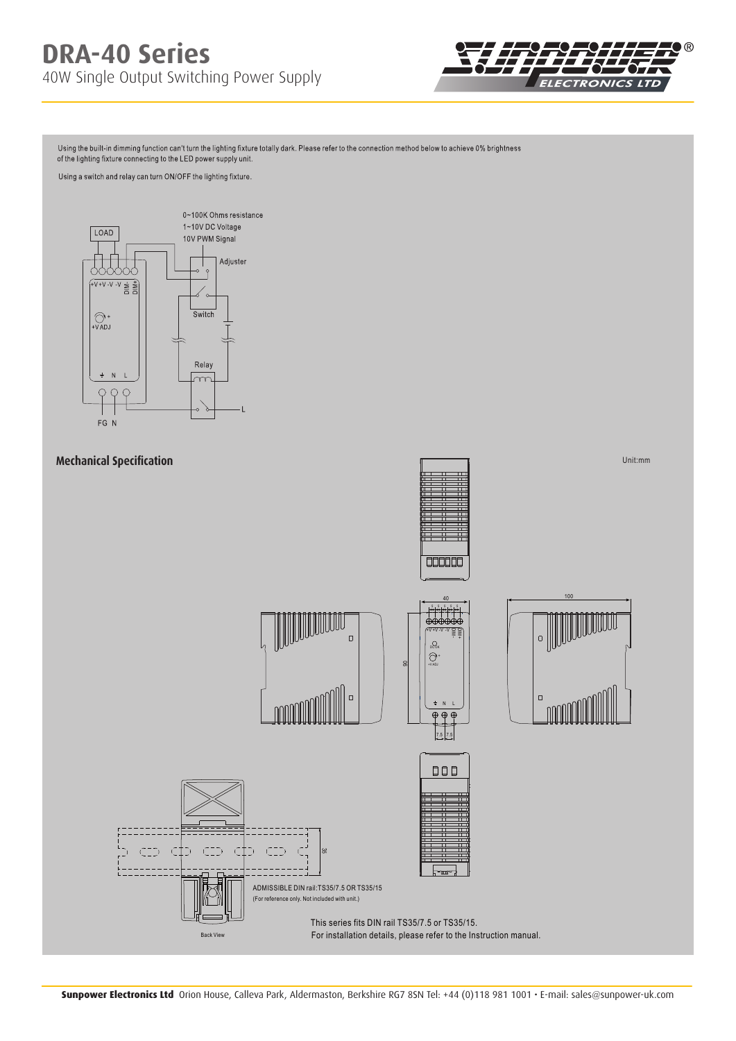

Using the built-in dimming function can't turn the lighting fixture totally dark. Please refer to the connection method below to achieve 0% brightness of the lighting fixture connecting to the LED power supply unit.

Using a switch and relay can turn ON/OFF the lighting fixture